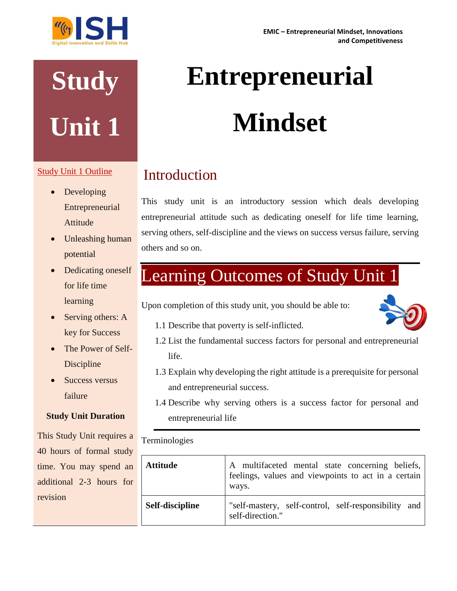# **Study Unit 1**

#### Study Unit 1 Outline

- Developing Entrepreneurial Attitude
- Unleashing human potential
- Dedicating oneself for life time learning
- Serving others: A key for Success
- The Power of Self-Discipline
- Success versus failure

#### **Study Unit Duration**

This Study Unit requires a 40 hours of formal study time. You may spend an additional 2-3 hours for revision

## **Entrepreneurial Mindset**

### Introduction

This study unit is an introductory session which deals developing entrepreneurial attitude such as dedicating oneself for life time learning, serving others, self-discipline and the views on success versus failure, serving others and so on.

## Learning Outcomes of Study Unit 1

Upon completion of this study unit, you should be able to:



- 1.1 Describe that poverty is self-inflicted.
- 1.2 List the fundamental success factors for personal and entrepreneurial life.
- 1.3 Explain why developing the right attitude is a prerequisite for personal and entrepreneurial success.
- 1.4 Describe why serving others is a success factor for personal and entrepreneurial life

#### Terminologies

| <b>Attitude</b> | A multifaceted mental state concerning beliefs,<br>feelings, values and viewpoints to act in a certain<br>ways. |
|-----------------|-----------------------------------------------------------------------------------------------------------------|
| Self-discipline | "self-mastery, self-control, self-responsibility and<br>self-direction."                                        |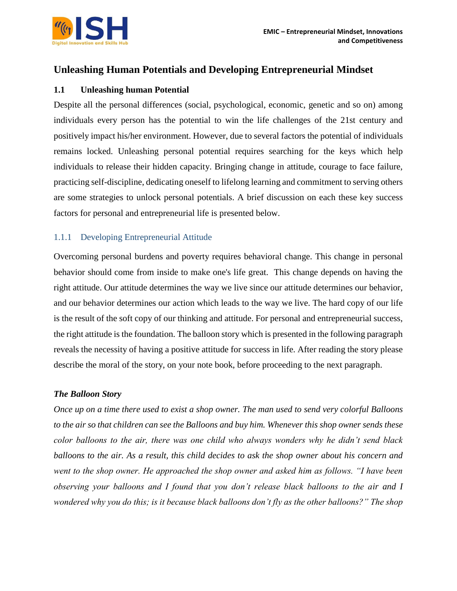

#### **Unleashing Human Potentials and Developing Entrepreneurial Mindset**

#### **1.1 Unleashing human Potential**

Despite all the personal differences (social, psychological, economic, genetic and so on) among individuals every person has the potential to win the life challenges of the 21st century and positively impact his/her environment. However, due to several factors the potential of individuals remains locked. Unleashing personal potential requires searching for the keys which help individuals to release their hidden capacity. Bringing change in attitude, courage to face failure, practicing self-discipline, dedicating oneself to lifelong learning and commitment to serving others are some strategies to unlock personal potentials. A brief discussion on each these key success factors for personal and entrepreneurial life is presented below.

#### 1.1.1 Developing Entrepreneurial Attitude

Overcoming personal burdens and poverty requires behavioral change. This change in personal behavior should come from inside to make one's life great. This change depends on having the right attitude. Our attitude determines the way we live since our attitude determines our behavior, and our behavior determines our action which leads to the way we live. The hard copy of our life is the result of the soft copy of our thinking and attitude. For personal and entrepreneurial success, the right attitude is the foundation. The balloon story which is presented in the following paragraph reveals the necessity of having a positive attitude for success in life. After reading the story please describe the moral of the story, on your note book, before proceeding to the next paragraph.

#### *The Balloon Story*

*Once up on a time there used to exist a shop owner. The man used to send very colorful Balloons to the air so that children can see the Balloons and buy him. Whenever this shop owner sends these color balloons to the air, there was one child who always wonders why he didn't send black balloons to the air. As a result, this child decides to ask the shop owner about his concern and went to the shop owner. He approached the shop owner and asked him as follows. "I have been observing your balloons and I found that you don't release black balloons to the air and I wondered why you do this; is it because black balloons don't fly as the other balloons?" The shop*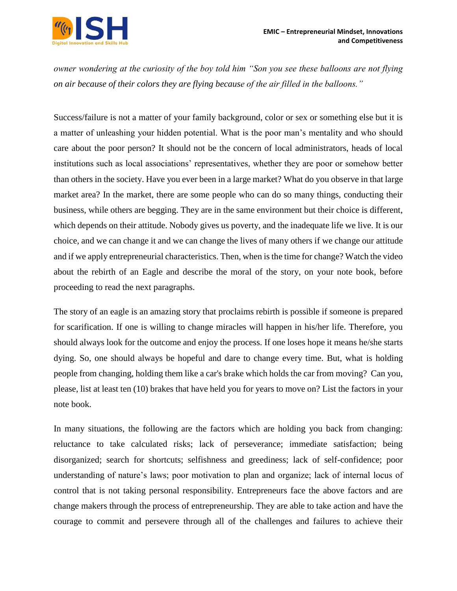

*owner wondering at the curiosity of the boy told him "Son you see these balloons are not flying on air because of their colors they are flying because of the air filled in the balloons."*

Success/failure is not a matter of your family background, color or sex or something else but it is a matter of unleashing your hidden potential. What is the poor man's mentality and who should care about the poor person? It should not be the concern of local administrators, heads of local institutions such as local associations' representatives, whether they are poor or somehow better than others in the society. Have you ever been in a large market? What do you observe in that large market area? In the market, there are some people who can do so many things, conducting their business, while others are begging. They are in the same environment but their choice is different, which depends on their attitude. Nobody gives us poverty, and the inadequate life we live. It is our choice, and we can change it and we can change the lives of many others if we change our attitude and if we apply entrepreneurial characteristics. Then, when is the time for change? Watch the video about the rebirth of an Eagle and describe the moral of the story, on your note book, before proceeding to read the next paragraphs.

The story of an eagle is an amazing story that proclaims rebirth is possible if someone is prepared for scarification. If one is willing to change miracles will happen in his/her life. Therefore, you should always look for the outcome and enjoy the process. If one loses hope it means he/she starts dying. So, one should always be hopeful and dare to change every time. But, what is holding people from changing, holding them like a car's brake which holds the car from moving? Can you, please, list at least ten (10) brakes that have held you for years to move on? List the factors in your note book.

In many situations, the following are the factors which are holding you back from changing: reluctance to take calculated risks; lack of perseverance; immediate satisfaction; being disorganized; search for shortcuts; selfishness and greediness; lack of self-confidence; poor understanding of nature's laws; poor motivation to plan and organize; lack of internal locus of control that is not taking personal responsibility. Entrepreneurs face the above factors and are change makers through the process of entrepreneurship. They are able to take action and have the courage to commit and persevere through all of the challenges and failures to achieve their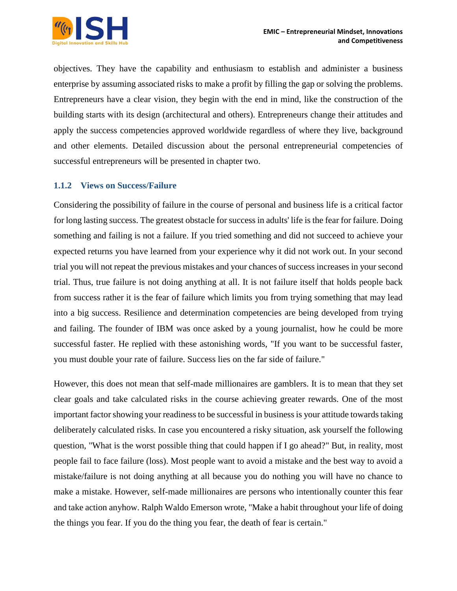

objectives. They have the capability and enthusiasm to establish and administer a business enterprise by assuming associated risks to make a profit by filling the gap or solving the problems. Entrepreneurs have a clear vision, they begin with the end in mind, like the construction of the building starts with its design (architectural and others). Entrepreneurs change their attitudes and apply the success competencies approved worldwide regardless of where they live, background and other elements. Detailed discussion about the personal entrepreneurial competencies of successful entrepreneurs will be presented in chapter two.

#### **1.1.2 Views on Success/Failure**

Considering the possibility of failure in the course of personal and business life is a critical factor for long lasting success. The greatest obstacle for success in adults' life is the fear for failure. Doing something and failing is not a failure. If you tried something and did not succeed to achieve your expected returns you have learned from your experience why it did not work out. In your second trial you will not repeat the previous mistakes and your chances of success increases in your second trial. Thus, true failure is not doing anything at all. It is not failure itself that holds people back from success rather it is the fear of failure which limits you from trying something that may lead into a big success. Resilience and determination competencies are being developed from trying and failing. The founder of IBM was once asked by a young journalist, how he could be more successful faster. He replied with these astonishing words, "If you want to be successful faster, you must double your rate of failure. Success lies on the far side of failure."

However, this does not mean that self-made millionaires are gamblers. It is to mean that they set clear goals and take calculated risks in the course achieving greater rewards. One of the most important factor showing your readiness to be successful in business is your attitude towards taking deliberately calculated risks. In case you encountered a risky situation, ask yourself the following question, "What is the worst possible thing that could happen if I go ahead?" But, in reality, most people fail to face failure (loss). Most people want to avoid a mistake and the best way to avoid a mistake/failure is not doing anything at all because you do nothing you will have no chance to make a mistake. However, self-made millionaires are persons who intentionally counter this fear and take action anyhow. Ralph Waldo Emerson wrote, "Make a habit throughout your life of doing the things you fear. If you do the thing you fear, the death of fear is certain."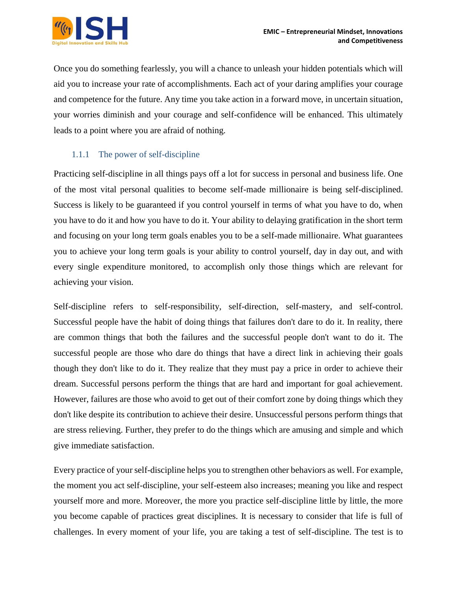

Once you do something fearlessly, you will a chance to unleash your hidden potentials which will aid you to increase your rate of accomplishments. Each act of your daring amplifies your courage and competence for the future. Any time you take action in a forward move, in uncertain situation, your worries diminish and your courage and self-confidence will be enhanced. This ultimately leads to a point where you are afraid of nothing.

#### 1.1.1 The power of self-discipline

Practicing self-discipline in all things pays off a lot for success in personal and business life. One of the most vital personal qualities to become self-made millionaire is being self-disciplined. Success is likely to be guaranteed if you control yourself in terms of what you have to do, when you have to do it and how you have to do it. Your ability to delaying gratification in the short term and focusing on your long term goals enables you to be a self-made millionaire. What guarantees you to achieve your long term goals is your ability to control yourself, day in day out, and with every single expenditure monitored, to accomplish only those things which are relevant for achieving your vision.

Self-discipline refers to self-responsibility, self-direction, self-mastery, and self-control. Successful people have the habit of doing things that failures don't dare to do it. In reality, there are common things that both the failures and the successful people don't want to do it. The successful people are those who dare do things that have a direct link in achieving their goals though they don't like to do it. They realize that they must pay a price in order to achieve their dream. Successful persons perform the things that are hard and important for goal achievement. However, failures are those who avoid to get out of their comfort zone by doing things which they don't like despite its contribution to achieve their desire. Unsuccessful persons perform things that are stress relieving. Further, they prefer to do the things which are amusing and simple and which give immediate satisfaction.

Every practice of your self-discipline helps you to strengthen other behaviors as well. For example, the moment you act self-discipline, your self-esteem also increases; meaning you like and respect yourself more and more. Moreover, the more you practice self-discipline little by little, the more you become capable of practices great disciplines. It is necessary to consider that life is full of challenges. In every moment of your life, you are taking a test of self-discipline. The test is to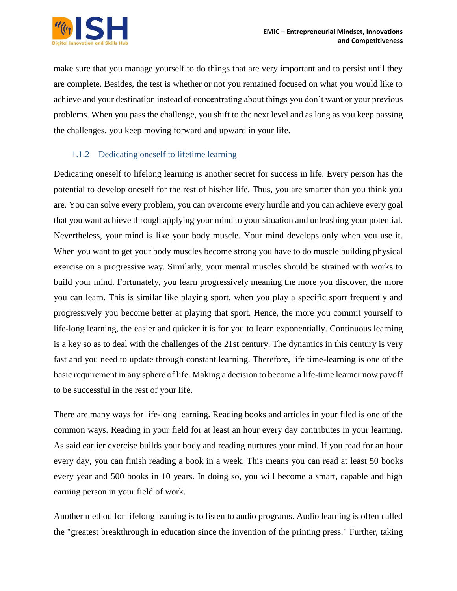make sure that you manage yourself to do things that are very important and to persist until they are complete. Besides, the test is whether or not you remained focused on what you would like to achieve and your destination instead of concentrating about things you don't want or your previous problems. When you pass the challenge, you shift to the next level and as long as you keep passing the challenges, you keep moving forward and upward in your life.

#### 1.1.2 Dedicating oneself to lifetime learning

Dedicating oneself to lifelong learning is another secret for success in life. Every person has the potential to develop oneself for the rest of his/her life. Thus, you are smarter than you think you are. You can solve every problem, you can overcome every hurdle and you can achieve every goal that you want achieve through applying your mind to your situation and unleashing your potential. Nevertheless, your mind is like your body muscle. Your mind develops only when you use it. When you want to get your body muscles become strong you have to do muscle building physical exercise on a progressive way. Similarly, your mental muscles should be strained with works to build your mind. Fortunately, you learn progressively meaning the more you discover, the more you can learn. This is similar like playing sport, when you play a specific sport frequently and progressively you become better at playing that sport. Hence, the more you commit yourself to life-long learning, the easier and quicker it is for you to learn exponentially. Continuous learning is a key so as to deal with the challenges of the 21st century. The dynamics in this century is very fast and you need to update through constant learning. Therefore, life time-learning is one of the basic requirement in any sphere of life. Making a decision to become a life-time learner now payoff to be successful in the rest of your life.

There are many ways for life-long learning. Reading books and articles in your filed is one of the common ways. Reading in your field for at least an hour every day contributes in your learning. As said earlier exercise builds your body and reading nurtures your mind. If you read for an hour every day, you can finish reading a book in a week. This means you can read at least 50 books every year and 500 books in 10 years. In doing so, you will become a smart, capable and high earning person in your field of work.

Another method for lifelong learning is to listen to audio programs. Audio learning is often called the "greatest breakthrough in education since the invention of the printing press." Further, taking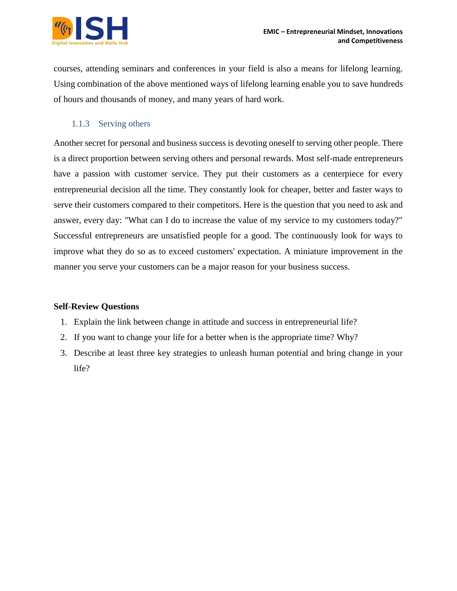

courses, attending seminars and conferences in your field is also a means for lifelong learning. Using combination of the above mentioned ways of lifelong learning enable you to save hundreds of hours and thousands of money, and many years of hard work.

#### 1.1.3 Serving others

Another secret for personal and business success is devoting oneself to serving other people. There is a direct proportion between serving others and personal rewards. Most self-made entrepreneurs have a passion with customer service. They put their customers as a centerpiece for every entrepreneurial decision all the time. They constantly look for cheaper, better and faster ways to serve their customers compared to their competitors. Here is the question that you need to ask and answer, every day: "What can I do to increase the value of my service to my customers today?" Successful entrepreneurs are unsatisfied people for a good. The continuously look for ways to improve what they do so as to exceed customers' expectation. A miniature improvement in the manner you serve your customers can be a major reason for your business success.

#### **Self-Review Questions**

- 1. Explain the link between change in attitude and success in entrepreneurial life?
- 2. If you want to change your life for a better when is the appropriate time? Why?
- 3. Describe at least three key strategies to unleash human potential and bring change in your life?